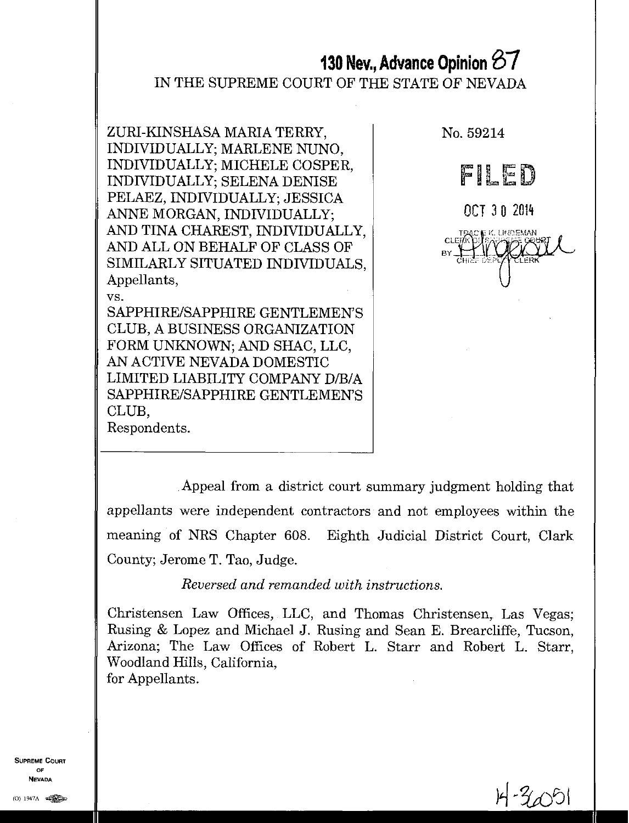# **130 Nev., Advance Opinion** Si

## IN THE SUPREME COURT OF THE STATE OF NEVADA

ZURI-KINSHASA MARIA TERRY, INDIVIDUALLY; MARLENE NUNO, INDIVIDUALLY; MICHELE COSPER, INDIVIDUALLY; SELENA DENISE PELAEZ, INDIVIDUALLY; JESSICA ANNE MORGAN, INDIVIDUALLY; AND TINA CHAREST, INDIVIDUALLY, AND ALL ON BEHALF OF CLASS OF SIMILARLY SITUATED INDIVIDUALS, Appellants, vs.

SAPPHIRE/SAPPHIRE GENTLEMEN'S CLUB, A BUSINESS ORGANIZATION FORM UNKNOWN; AND SHAC, LLC, AN ACTIVE NEVADA DOMESTIC LIMITED LIABILITY COMPANY D/B/A SAPPHIRE/SAPPHIRE GENTLEMEN'S CLUB, Respondents.

No. 59214 **FILED** OCT 3 0 2014 TBZiCA: K. LINBEMAN CLEi BY.

Appeal from a district court summary judgment holding that appellants were independent contractors and not employees within the meaning of NRS Chapter 608. Eighth Judicial District Court, Clark County; Jerome T. Tao, Judge.

*Reversed and remanded with instructions.* 

Christensen Law Offices, LLC, and Thomas Christensen, Las Vegas; Rusing & Lopez and Michael J. Rasing and Sean E. Brearcliffe, Tucson, Arizona; The Law Offices of Robert L. Starr and Robert L. Starr, Woodland Hills, California, for Appellants.

SUPREME COURT OF NEVADA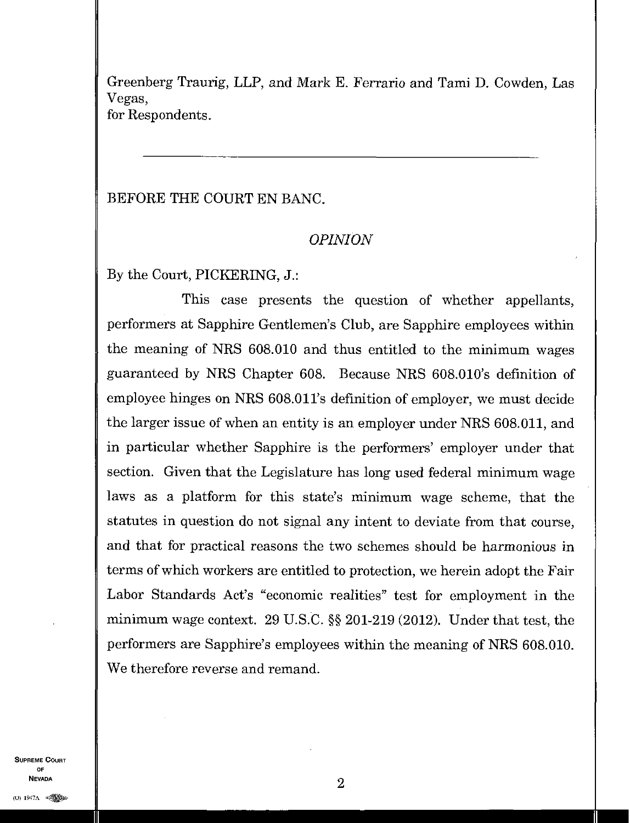Greenberg Traurig, LLP, and Mark E. Ferrario and Tami D. Cowden, Las Vegas, for Respondents.

BEFORE THE COURT EN BANC,

## *OPINION*

By the Court, PICKERING, J.:

This case presents the question of whether appellants, performers at Sapphire Gentlemen's Club, are Sapphire employees within the meaning of NRS 608.010 and thus entitled to the minimum wages guaranteed by NRS Chapter 608. Because NRS 608.010's definition of employee hinges on NRS 608.011's definition of employer, we must decide the larger issue of when an entity is an employer under NRS 608.011, and in particular whether Sapphire is the performers' employer under that section. Given that the Legislature has long used federal minimum wage laws as a platform for this state's minimum wage scheme, that the statutes in question do not signal any intent to deviate from that course, and that for practical reasons the two schemes should be harmonious in terms of which workers are entitled to protection, we herein adopt the Fair Labor Standards Act's "economic realities" test for employment in the minimum wage context. 29 U.S.C. §§ 201-219 (2012). Under that test, the performers are Sapphire's employees within the meaning of NRS 608.010. We therefore reverse and remand.

SUPREME COURT OF  $\sim$  2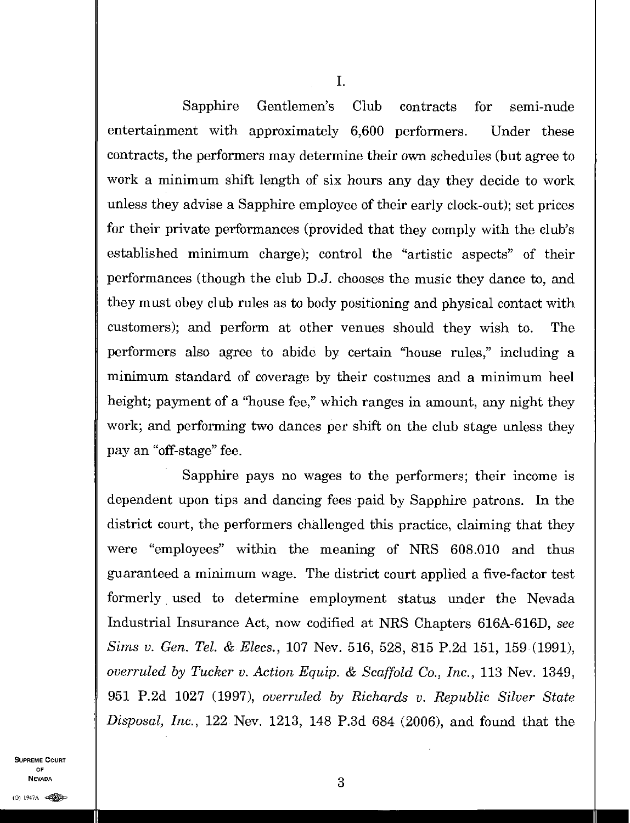Sapphire Gentlemen's Club contracts for semi-nude entertainment with approximately 6,600 performers. Under these contracts, the performers may determine their own schedules (but agree to work a minimum shift length of six hours any day they decide to work unless they advise a Sapphire employee of their early clock-out); set prices for their private performances (provided that they comply with the club's established minimum charge); control the "artistic aspects" of their performances (though the club D.J. chooses the music they dance to, and they must obey club rules as to body positioning and physical contact with customers); and perform at other venues should they wish to. The performers also agree to abide by certain "house rules," including a minimum standard of coverage by their costumes and a minimum heel height; payment of a "house fee," which ranges in amount, any night they work; and performing two dances per shift on the club stage unless they pay an "off-stage" fee.

Sapphire pays no wages to the performers; their income is dependent upon tips and dancing fees paid by Sapphire patrons. In the district court, the performers challenged this practice, claiming that they were "employees" within the meaning of NRS 608.010 and thus guaranteed a minimum wage. The district court applied a five-factor test formerly used to determine employment status under the Nevada Industrial Insurance Act, now codified at NRS Chapters 616A-616D, *see Sims v. Gen. Tel. & Elecs.,* 107 Nev. 516, 528, 815 P.2d 151, 159 (1991), *overruled by Tucker v. Action Equip. & Scaffold Co., Inc.,* 113 Nev. 1349, 951 P.2d 1027 (1997), *overruled by Richards v. Republic Silver State Disposal, Inc.,* 122 Nev. 1213, 148 P.3d 684 (2006), and found that the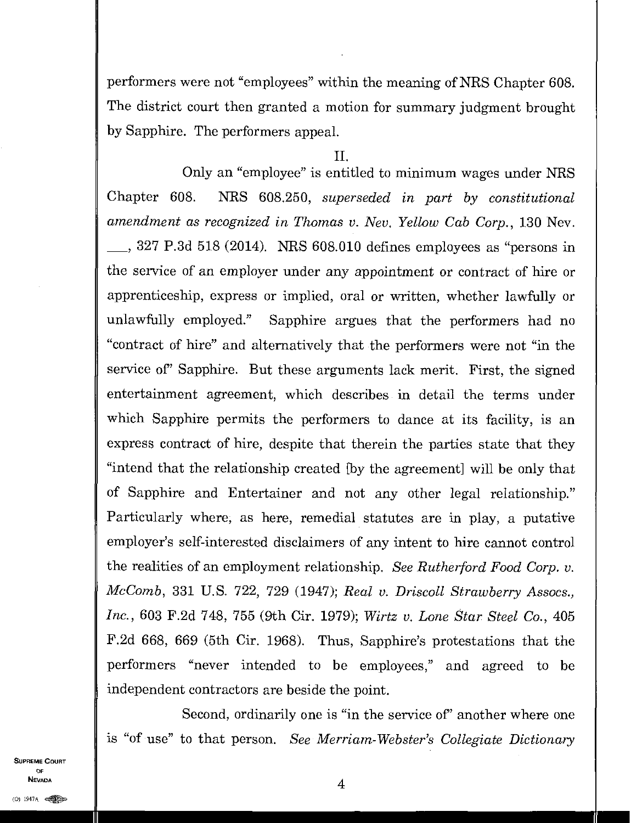performers were not "employees" within the meaning of NRS Chapter 608. The district court then granted a motion for summary judgment brought by Sapphire. The performers appeal.

### $\Pi$ .

Only an "employee" is entitled to minimum wages under NRS Chapter 608. NRS 608.250, *superseded in part by constitutional amendment as recognized in Thomas v. Nev. Yellow Cab Corp.,* 130 Nev. , 327 P.3d 518 (2014). NRS 608.010 defines employees as "persons in the service of an employer under any appointment or contract of hire or apprenticeship, express or implied, oral or written, whether lawfully or unlawfully employed." Sapphire argues that the performers had no "contract of hire" and alternatively that the performers were not "in the service of' Sapphire. But these arguments lack merit. First, the signed entertainment agreement, which describes in detail the terms under which Sapphire permits the performers to dance at its facility, is an express contract of hire, despite that therein the parties state that they "intend that the relationship created [by the agreement] will be only that of Sapphire and Entertainer and not any other legal relationship." Particularly where, as here, remedial statutes are in play, a putative employer's self-interested disclaimers of any intent to hire cannot control the realities of an employment relationship. *See Rutherford Food Corp. v. McComb,* 331 U.S. 722, 729 (1947); *Real v. Driscoll Strawberry Assocs., Inc.,* 603 F.2d 748, 755 (9th Cir. 1979); *Wirtz v. Lone Star Steel Co.,* 405 F.2d 668, 669 (5th Cir. 1968). Thus, Sapphire's protestations that the performers "never intended to be employees," and agreed to be independent contractors are beside the point.

Second, ordinarily one is "in the service of' another where one is "of use" to that person. *See Merriam-Webster's Collegiate Dictionary* 

SUPREME COURT OF NEVADA  $4$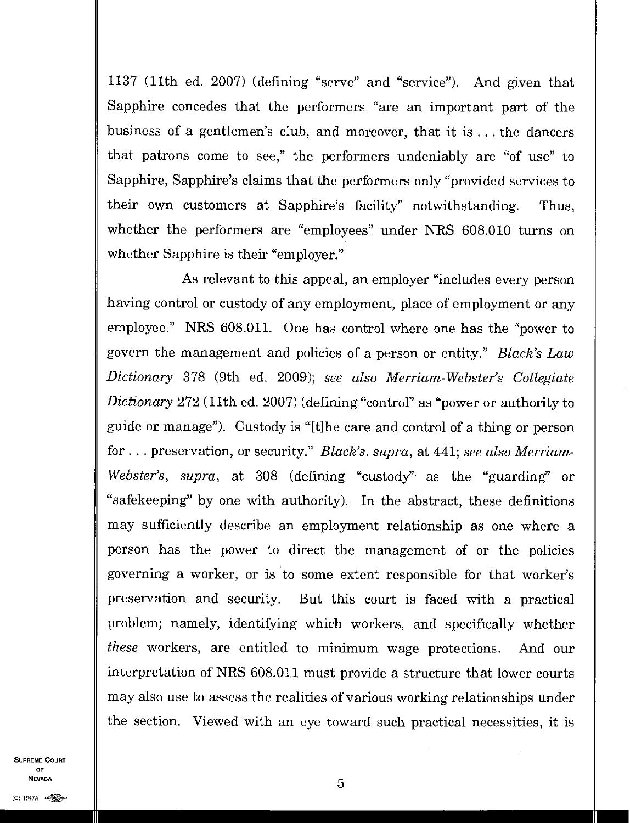1137 (11th ed. 2007) (defining "serve" and "service"). And given that Sapphire concedes that the performers "are an important part of the business of a gentlemen's club, and moreover, that it is . . . the dancers that patrons come to see," the performers undeniably are "of use" to Sapphire, Sapphire's claims that the performers only "provided services to their own customers at Sapphire's facility" notwithstanding. Thus, whether the performers are "employees" under NRS 608.010 turns on whether Sapphire is their "employer."

As relevant to this appeal, an employer "includes every person having control or custody of any employment, place of employment or any employee." NRS 608.011. One has control where one has the "power to govern the management and policies of a person or entity." *Black's Law Dictionary* 378 (9th ed. 2009); *see also Merriam-Webster's Collegiate Dictionary* 272 (11th ed. 2007) (defining "control" as "power or authority to guide or manage"). Custody is "[t]he care and control of a thing or person for. . . preservation, or security." *Black's, supra,* at 441; *see also Merriam-Webster's, supra,* at 308 (defining "custody" as the "guarding" or "safekeeping" by one with authority). In the abstract, these definitions may sufficiently describe an employment relationship as one where a person has the power to direct the management of or the policies governing a worker, or is to some extent responsible for that worker's preservation and security. But this court is faced with a practical problem; namely, identifying which workers, and specifically whether *these* workers, are entitled to minimum wage protections. And our interpretation of NRS 608.011 must provide a structure that lower courts may also use to assess the realities of various working relationships under the section. Viewed with an eye toward such practical necessities, it is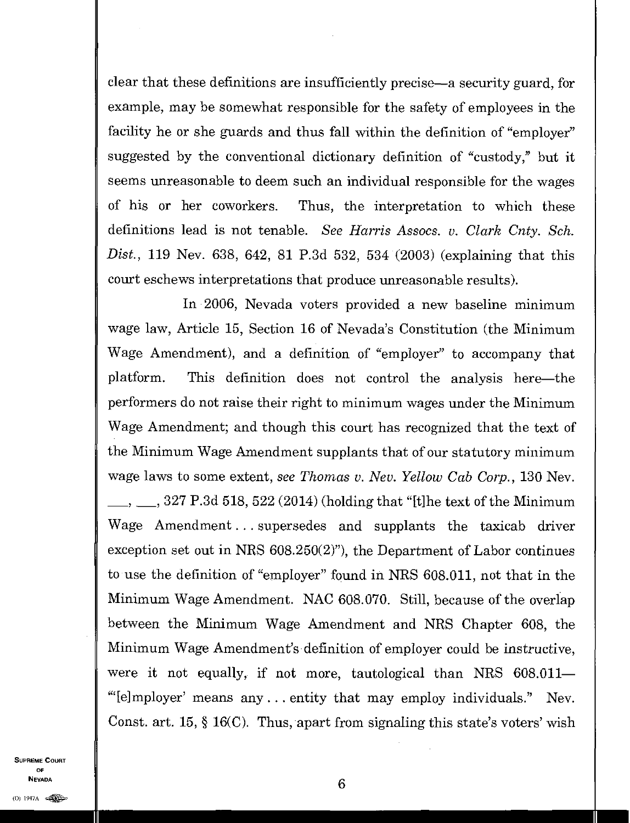clear that these definitions are insufficiently precise—a security guard, for example, may be somewhat responsible for the safety of employees in the facility he or she guards and thus fall within the definition of "employer" suggested by the conventional dictionary definition of "custody," but it seems unreasonable to deem such an individual responsible for the wages of his or her coworkers. Thus, the interpretation to which these definitions lead is not tenable. *See Harris Assocs. v. Clark Cnty. Sch. Dist.,* 119 Nev. 638, 642, 81 P.3d 532, 534 (2003) (explaining that this court eschews interpretations that produce unreasonable results).

In 2006, Nevada voters provided a new baseline minimum wage law, Article 15, Section 16 of Nevada's Constitution (the Minimum Wage Amendment), and a definition of "employer" to accompany that platform. This definition does not control the analysis here—the performers do not raise their right to minimum wages under the Minimum Wage Amendment; and though this court has recognized that the text of the Minimum Wage Amendment supplants that of our statutory minimum wage laws to some extent, *see Thomas v. Nev. Yellow Cab Corp.,* 130 Nev.  $\mu$ , 327 P.3d 518, 522 (2014) (holding that "[t] he text of the Minimum Wage Amendment. . . supersedes and supplants the taxicab driver exception set out in NRS 608.250(2)"), the Department of Labor continues to use the definition of "employer" found in NRS 608.011, not that in the Minimum Wage Amendment. NAC 608.070. Still, because of the overlap between the Minimum Wage Amendment and NRS Chapter 608, the Minimum Wage Amendment's definition of employer could be instructive, were it not equally, if not more, tautological than NRS 608.011— "[e]mployer' means any...entity that may employ individuals." Nev. Const. art. 15, § 16(C). Thus, apart from signaling this state's voters' wish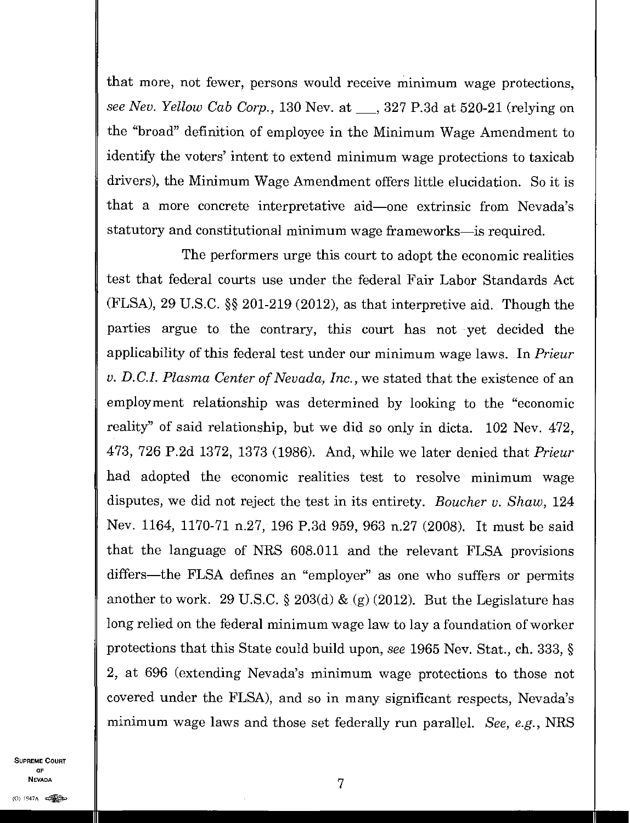that more, not fewer, persons would receive minimum wage protections, *see Nev. Yellow Cab Corp.,* 130 Nev. at \_\_\_, 327 P.3d at 520-21 (relying on the "broad" definition of employee in the Minimum Wage Amendment to identify the voters' intent to extend minimum wage protections to taxicab drivers), the Minimum Wage Amendment offers little elucidation. So it is that a more concrete interpretative aid—one extrinsic from Nevada's statutory and constitutional minimum wage frameworks—is required.

The performers urge this court to adopt the economic realities test that federal courts use under the federal Fair Labor Standards Act (FLSA), 29 U.S.C. §§ 201-219 (2012), as that interpretive aid. Though the parties argue to the contrary, this court has not yet decided the applicability of this federal test under our minimum wage laws. In *Prieur v. MCI. Plasma Center of Nevada, Inc.,* we stated that the existence of an employment relationship was determined by looking to the "economic reality" of said relationship, but we did so only in dicta. 102 Nev. 472, 473, 726 P.2d 1372, 1373 (1986). And, while we later denied that *Prieur*  had adopted the economic realities test to resolve minimum wage disputes, we did not reject the test in its entirety. *Boucher v. Shaw,* 124 Nev. 1164, 1170-71 n.27, 196 P.3d 959, 963 n.27 (2008). It must be said that the language of NRS 608.011 and the relevant FLSA provisions differs—the FLSA defines an "employer" as one who suffers or permits another to work. 29 U.S.C. § 203(d) & *(g)* (2012). But the Legislature has long relied on the federal minimum wage law to lay a foundation of worker protections that this State could build upon, *see* 1965 Nev. Stat., ch. 333, § 2, at 696 (extending Nevada's minimum wage protections to those not covered under the FLSA), and so in many significant respects, Nevada's minimum wage laws and those set federally run parallel. *See, e.g.,* NRS

SUPREME COURT OF  $\sim$  7 **Nevada**<br>(0) 1947a  $\iff$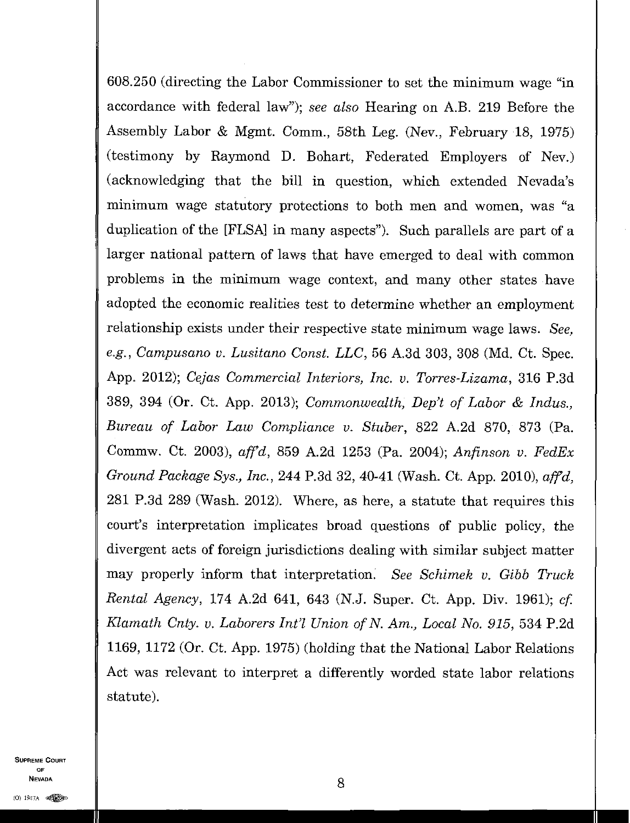608.250 (directing the Labor Commissioner to set the minimum wage "in accordance with federal law"); *see also* Hearing on A.B. 219 Before the Assembly Labor & Mgmt. Comm., 58th Leg. (Nev., February 18, 1975) (testimony by Raymond D. Bohart, Federated Employers of Nev.) (acknowledging that the bill in question, which extended Nevada's minimum wage statutory protections to both men and women, was "a duplication of the [FLSAl in many aspects"). Such parallels are part of a larger national pattern of laws that have emerged to deal with common problems in the minimum wage context, and many other states have adopted the economic realities test to determine whether an employment relationship exists under their respective state minimum wage laws. *See, e.g., Campusano v. Lusitano Const. LLC,* 56 A.3d 303, 308 (Md. Ct. Spec. App. 2012); *Cejas Commercial Interiors, Inc. v. Torres-Lizama,* 316 P.3d 389, 394 (Or. Ct. App. 2013); *Commonwealth, Dep't of Labor & Indus., Bureau of Labor Law Compliance v. Stuber,* 822 A.2d 870, 873 (Pa. Commw. Ct. 2003), *affd,* 859 A.2d 1253 (Pa. 2004); *Anfinson v. FedEx Ground Package Sys., Inc.,* 244 P.3d 32, 40-41 (Wash. Ct. App. 2010), *affd,*  281 P.3d 289 (Wash. 2012). Where, as here, a statute that requires this court's interpretation implicates broad questions of public policy, the divergent acts of foreign jurisdictions dealing with similar subject matter may properly inform that interpretation. *See Schimek v. Gibb Truck Rental Agency,* 174 A.2d 641, 643 (N.J. Super. Ct. App. Div. 1961); *cf. Klamath Cnty. v. Laborers Int'l Union of N. Am., Local No. 915,* 534 P.2d 1169, 1172 (Or. Ct. App. 1975) (holding that the National Labor Relations Act was relevant to interpret a differently worded state labor relations statute).

SUPREME COURT OF NEVADA 8 **Nevada**<br>(0) 1947A  $\bigoplus$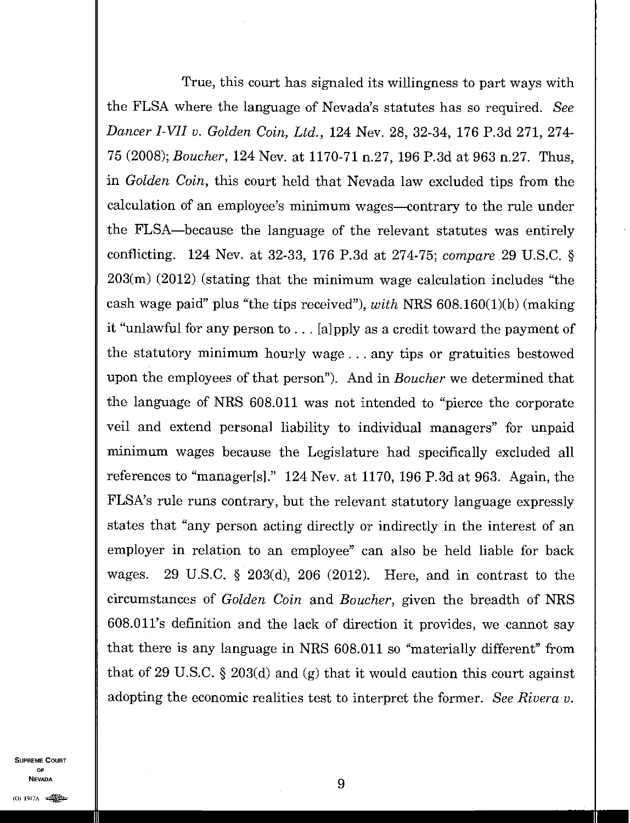True, this court has signaled its willingness to part ways with the FLSA where the language of Nevada's statutes has so required. *See Dancer I-VH v. Golden Coin, Ltd.,* 124 Nev. 28, 32-34, 176 P.3d 271, 274- 75 (2008); *Boucher,* 124 Nev. at 1170-71 n.27, 196 P.3d at 963 n.27. Thus, in *Golden Coin,* this court held that Nevada law excluded tips from the calculation of an employee's minimum wages—contrary to the rule under the FLSA—because the language of the relevant statutes was entirely conflicting. 124 Nev. at 32-33, 176 P.3d at 274-75; *compare* 29 U.S.C. § 203(m) (2012) (stating that the minimum wage calculation includes "the cash wage paid" plus "the tips received"), *with* NRS 608.160(1)(b) (making it "unlawful for any person to  $\dots$  [a] pply as a credit toward the payment of the statutory minimum hourly wage. . . any tips or gratuities bestowed upon the employees of that person"). And in *Boucher* we determined that the language of NRS 608.011 was not intended to "pierce the corporate veil and extend personal liability to individual managers" for unpaid minimum wages because the Legislature had specifically excluded all references to "manager[s]." 124 Nev. at 1170, 196 P.3d at 963. Again, the FLSA's rule runs contrary, but the relevant statutory language expressly states that "any person acting directly or indirectly in the interest of an employer in relation to an employee" can also be held liable for back wages. 29 U.S.C. § 203(d), 206 (2012). Here, and in contrast to the circumstances of *Golden Coin* and *Boucher,* given the breadth of NRS 608.011's definition and the lack of direction it provides, we cannot say that there is any language in NRS 608.011 so "materially different" from that of 29 U.S.C. § 203(d) and (g) that it would caution this court against adopting the economic realities test to interpret the former. *See Rivera v.*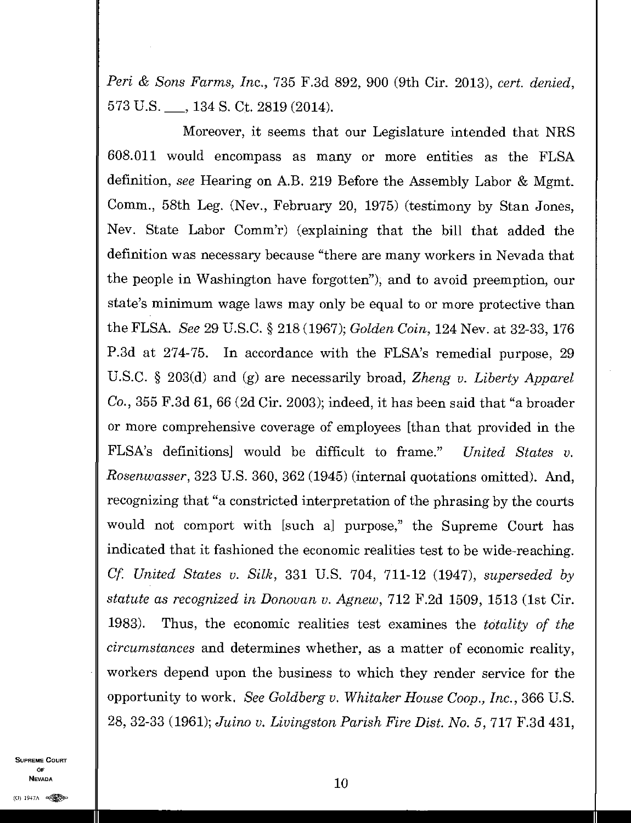*Pen i & Sons Farms, Inc.,* 735 F.3d 892, 900 (9th Cir. 2013), *cert. denied,*  573 U.S. <sub>, 134</sub> S. Ct. 2819 (2014).

Moreover, it seems that our Legislature intended that MRS 608.011 would encompass as many or more entities as the FLSA definition, *see* Hearing on A.B. 219 Before the Assembly Labor & Mgmt. Comm., 58th Leg. (Nev., February 20, 1975) (testimony by Stan Jones, Nev. State Labor Comm'r) (explaining that the bill that added the definition was necessary because "there are many workers in Nevada that the people in Washington have forgotten"), and to avoid preemption, our state's minimum wage laws may only be equal to or more protective than the FLSA. *See* 29 U.S.C. § 218 (1967); *Golden Coin,* 124 Nev. at 32-33, 176 P.3d at 274-75. In accordance with the FLSA's remedial purpose, 29 U.S.C. § 203(d) and *(g)* are necessarily broad, *Zheng v. Liberty Apparel Co.,* 355 F.3d 61, 66 (2d Cir. 2003); indeed, it has been said that "a broader or more comprehensive coverage of employees [than that provided in the FLSA's definitions] would be difficult to frame." *United States v. Rosenwasser,* 323 U.S. 360, 362 (1945) (internal quotations omitted). And, recognizing that "a constricted interpretation of the phrasing by the courts would not comport with [such a] purpose," the Supreme Court has indicated that it fashioned the economic realities test to be wide-reaching. *Cf. United States v. Silk,* 331 U.S. 704, 711-12 (1947), *superseded by statute as recognized in Donovan ix Agnew,* 712 F.2d 1509, 1513 (1st Cir. 1983). Thus, the economic realities test examines the *totality of the circumstances* and determines whether, as a matter of economic reality, workers depend upon the business to which they render service for the opportunity to work. *See Goldberg v. Whitaker House Coop., Inc.,* 366 U.S. 28, 32-33 (1961); *Juino v. Livingston Parish Fire Dist. No. 5,* 717 F.3d 431,

SUPREME COURT OF NEVADA  $10$ **Nevada**<br>1947a este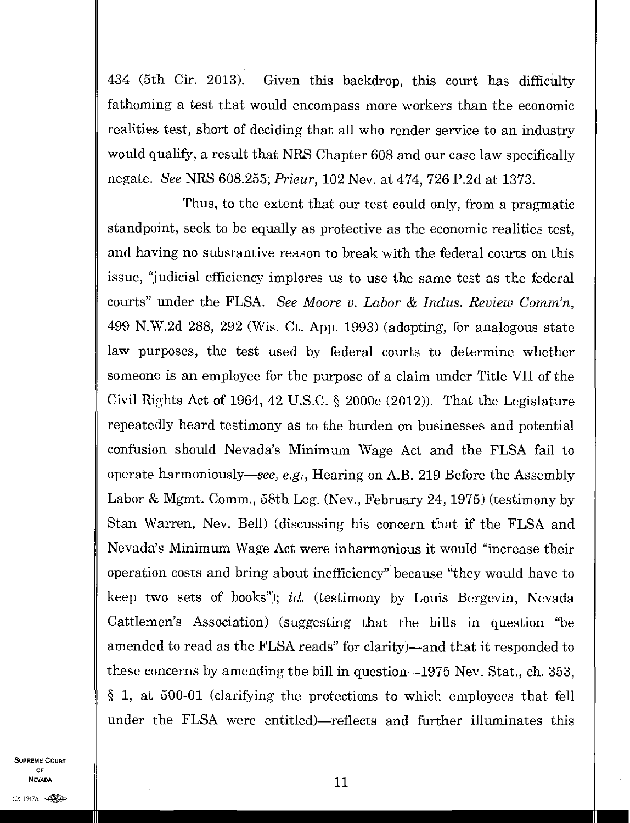434 (5th Cir. 2013). Given this backdrop, this court has difficulty fathoming a test that would encompass more workers than the economic realities test, short of deciding that all who render service to an industry would qualify, a result that NRS Chapter 608 and our case law specifically negate. *See* MRS 608.255; *Prieur,* 102 Nev. at 474, 726 P.2d at 1373.

Thus, to the extent that our test could only, from a pragmatic standpoint, seek to be equally as protective as the economic realities test, and having no substantive reason to break with the federal courts on this issue, "judicial efficiency implores us to use the same test as the federal courts" under the FLSA. *See Moore v. Labor & Indus. Review Comm'n,*  499 N.W.2d 288, 292 (Wis. Ct. App. 1993) (adopting, for analogous state law purposes, the test used by federal courts to determine whether someone is an employee for the purpose of a claim under Title VII of the Civil Rights Act of 1964, 42 U.S.C. § 2000e (2012)). That the Legislature repeatedly heard testimony as to the burden on businesses and potential confusion should Nevada's Minimum Wage Act and the FLSA fail to operate harmoniously—see, *e.g.,* Hearing on A.B. 219 Before the Assembly Labor & Mgmt. Comm., 58th Leg. (Nev., February 24, 1975) (testimony by Stan Warren, Nev. Bell) (discussing his concern that if the FLSA and Nevada's Minimum Wage Act were inharmonious it would "increase their operation costs and bring about inefficiency" because "they would have to keep two sets of books"); *id.* (testimony by Louis Bergevin, Nevada Cattlemen's Association) (suggesting that the bills in question "be amended to read as the FLSA reads" for clarity)—and that it responded to these concerns by amending the bill in question-1975 Nev. Stat., ch. 353, § 1, at 500-01 (clarifying the protections to which employees that fell under the FLSA were entitled)—reflects and further illuminates this

SUPREME COURT OF Nevada  $11$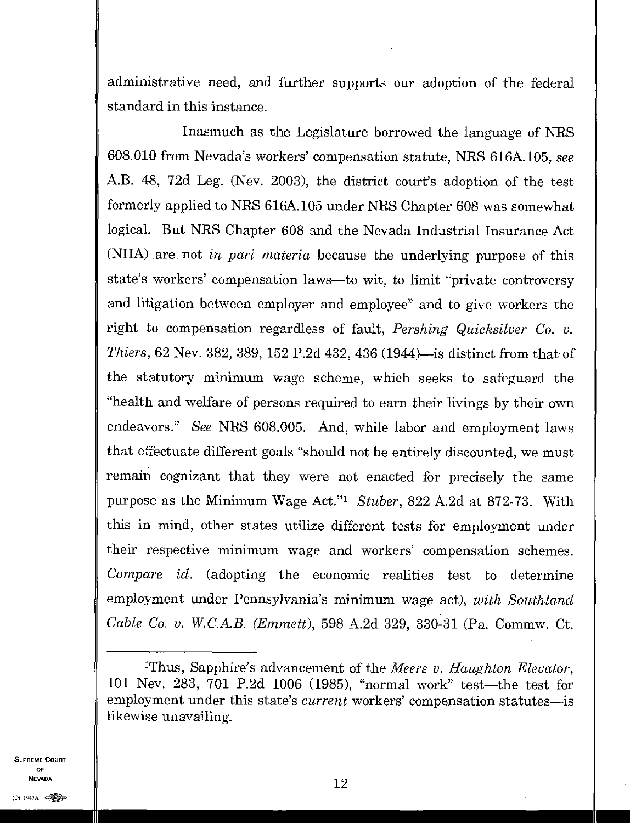administrative need, and further supports our adoption of the federal standard in this instance.

Inasmuch as the Legislature borrowed the language of NRS 608.010 from Nevada's workers' compensation statute, NRS 616A.105, *see*  A.B. 48, 72d Leg. (Nev. 2003), the district court's adoption of the test formerly applied to NRS 616A.105 under NRS Chapter 608 was somewhat logical. But NRS Chapter 608 and the Nevada Industrial Insurance Act (NIIA) are not *in pari materia* because the underlying purpose of this state's workers' compensation laws—to wit, to limit "private controversy and litigation between employer and employee" and to give workers the right to compensation regardless of fault, *Pershing Quicksilver Co. v. Thiers,* 62 Nev. 382, 389, 152 P.2d 432, 436 (1944)—is distinct from that of the statutory minimum wage scheme, which seeks to safeguard the "health and welfare of persons required to earn their livings by their own endeavors." *See* NRS 608.005. And, while labor and employment laws that effectuate different goals "should not be entirely discounted, we must remain cognizant that they were not enacted for precisely the same purpose as the Minimum Wage Act." *Stuber,* 822 A.2d at 872-73. With this in mind, other states utilize different tests for employment under their respective minimum wage and workers' compensation schemes. *Compare id.* (adopting the economic realities test to determine employment under Pennsylvania's minimum wage act), *with Southland Cable Co. v. W.C.A.B. (Emmett),* 598 A.2d 329, 330-31 (Pa. Commw. Ct.

SUPREME COURT OF NEVADA

12

<sup>&#</sup>x27;Thus, Sapphire's advancement of the *Meers v. Haughton Elevator, 101* Nev. 283, 701 P.2d 1006 (1985), "normal work" test—the test for employment under this state's *current* workers' compensation statutes—is likewise unavailing.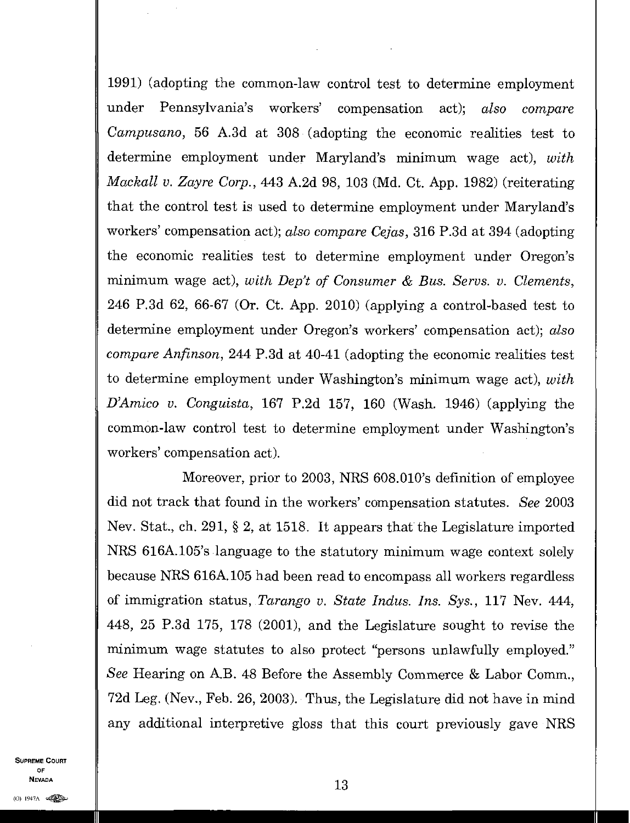1991) (adopting the common-law control test to determine employment under Pennsylvania's workers' compensation act); *also compare Campusano,* 56 A.3d at 308 (adopting the economic realities test to determine employment under Maryland's minimum wage act), *with Mackall v. Zayre Corp.,* 443 A.2d 98, 103 (Md. Ct. App. 1982) (reiterating that the control test is used to determine employment under Maryland's workers' compensation act); *also compare Cejas,* 316 P.3d at 394 (adopting the economic realities test to determine employment under Oregon's minimum wage act), *with Dep't of Consumer & Bus. Servs. v. Clements,*  246 P.3d 62, 66-67 (Or. Ct. App. 2010) (applying a control-based test to determine employment under Oregon's workers' compensation act); *also compare Anfinson,* 244 P.3d at 40-41 (adopting the economic realities test to determine employment under Washington's minimum wage act), *with DAmico v. Conguista,* 167 P.2d 157, 160 (Wash. 1946) (applying the common-law control test to determine employment under Washington's workers' compensation act).

Moreover, prior to 2003, NRS 608.010's definition of employee did not track that found in the workers' compensation statutes. *See* 2003 Nev. Stat., ch. 291, § 2, at 1518. It appears that the Legislature imported NRS 616A.105's language to the statutory minimum wage context solely because NRS 616A.105 had been read to encompass all workers regardless of immigration status, *Tarango v. State Indus. Ins. Sys.,* 117 Nev. 444, 448, 25 P.3d 175, 178 (2001), and the Legislature sought to revise the minimum wage statutes to also protect "persons unlawfully employed." *See* Hearing on A.B. 48 Before the Assembly Commerce & Labor Comm, 72d Leg. (Nev., Feb. 26, 2003). Thus, the Legislature did not have in mind any additional interpretive gloss that this court previously gave NRS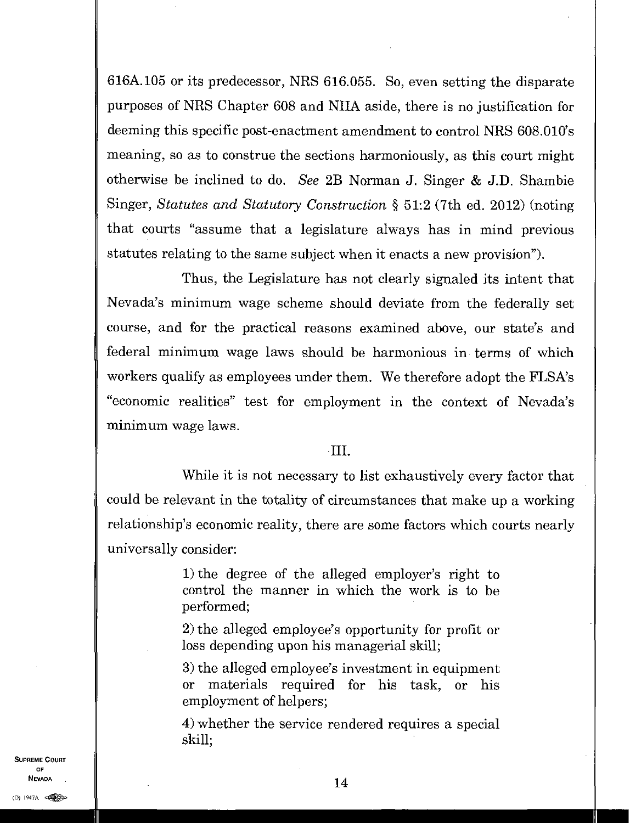616A.105 or its predecessor, NRS 616.055. So, even setting the disparate purposes of NRS Chapter 608 and NIIA aside, there is no justification for deeming this specific post-enactment amendment to control NRS 608.010's meaning, so as to construe the sections harmoniously, as this court might otherwise be inclined to do. *See* 2B Norman J. Singer & J.D. Shambie Singer, *Statutes and Statutory Construction §* 51:2 (7th ed. 2012) (noting that courts "assume that a legislature always has in mind previous statutes relating to the same subject when it enacts a new provision").

Thus, the Legislature has not clearly signaled its intent that Nevada's minimum wage scheme should deviate from the federally set course, and for the practical reasons examined above, our state's and federal minimum wage laws should be harmonious in terms of which workers qualify as employees under them. We therefore adopt the FLSA's "economic realities" test for employment in the context of Nevada's minimum wage laws.

### $\cdot$ III.

While it is not necessary to list exhaustively every factor that could be relevant in the totality of circumstances that make up a working relationship's economic reality, there are some factors which courts nearly universally consider:

> 1) the degree of the alleged employer's right to control the manner in which the work is to be performed;

> 2) the alleged employee's opportunity for profit or loss depending upon his managerial skill;

> 3) the alleged employee's investment in equipment or materials required for his task, or his employment of helpers;

> 4) whether the service rendered requires a special skill;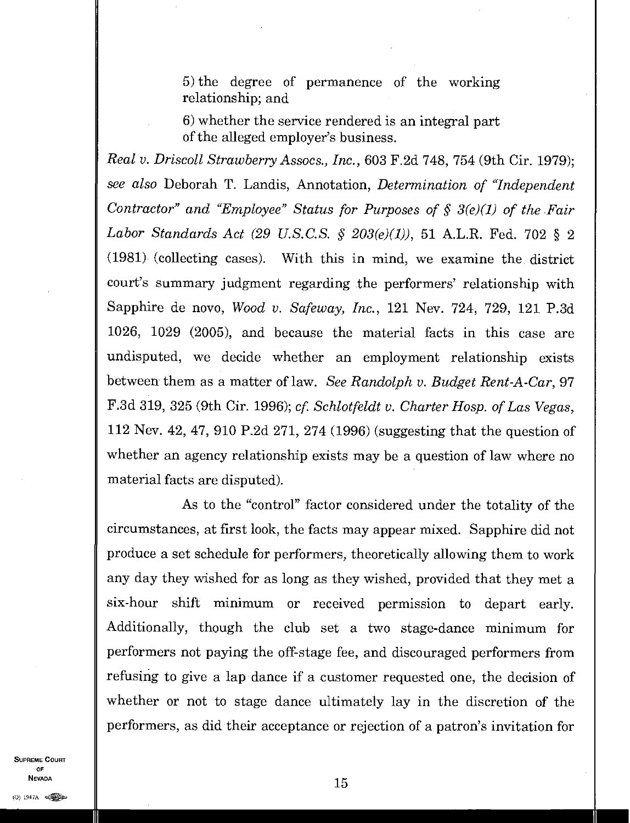5) the degree of permanence of the working relationship; and

6) whether the service rendered is an integral part of the alleged employer's business.

*Real v. Driscoll Strawberry Assocs., Inc.,* 603 F.2d 748, 754 (9th Cir. 1979); *see also* Deborah T. Landis, Annotation, *Determination of "Independent Contractor" and "Employee" Status for Purposes of § 3(e)(1) of the Fair Labor Standards Act (29 U.S.C.S. § 203(e)(1)),* 51 A.L.R. Fed. 702 § 2  $(1981)$  (collecting cases). With this in mind, we examine the district court's summary judgment regarding the performers' relationship with Sapphire de novo, *Wood v. Safeway, Inc.,* 121 Nev. 724, 729, 121 P.3d 1026, 1029 (2005), and because the material facts in this case are undisputed, we decide whether an employment relationship exists between them as a matter of law. *See Randolph v. Budget Rent-A-Car,* 97 F.3d 319, 325 (9th Cir. 1996); *cf. Schlotfeldt v. Charter Hosp. of Las Vegas,*  112 Nev. 42, 47, 910 P.2d 271, 274 (1996) (suggesting that the question of whether an agency relationship exists may be a question of law where no material facts are disputed).

As to the "control" factor considered under the totality of the circumstances, at first look, the facts may appear mixed. Sapphire did not produce a set schedule for performers, theoretically allowing them to work any day they wished for as long as they wished, provided that they met a six-hour shift minimum or received permission to depart early. Additionally, though the club set a two stage-dance minimum for performers not paying the off-stage fee, and discouraged performers from refusing to give a lap dance if a customer requested one, the decision of whether or not to stage dance ultimately lay in the discretion of the performers, as did their acceptance or rejection of a patron's invitation for

SUPREME COURT OF **Nevada**<br>(0) 1947A  $\bullet$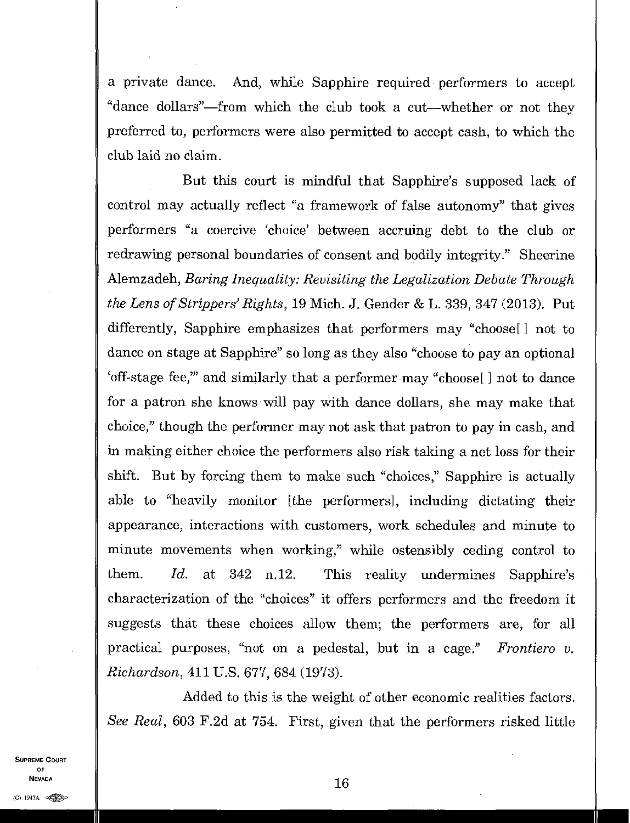a private dance. And, while Sapphire required performers to accept "dance dollars"—from which the club took a cut—whether or not they preferred to, performers were also permitted to accept cash, to which the club laid no claim.

But this court is mindful that Sapphire's supposed lack of control may actually reflect "a framework of false autonomy" that gives performers "a coercive 'choice' between accruing debt to the club or redrawing personal boundaries of consent and bodily integrity." Sheerine Alemzadeh, *Baring Inequality: Revisiting the Legalization Debate Through the Lens of Strippers' Rights,* 19 Mich. J. Gender &L. 339, 347 (2013). Put differently, Sapphire emphasizes that performers may "choose [] not to dance on stage at Sapphire" so long as they also "choose to pay an optional 'off-stage fee," and similarly that a performer may "choose [ ] not to dance for a patron she knows will pay with dance dollars, she may make that choice," though the performer may not ask that patron to pay in cash, and in making either choice the performers also risk taking a net loss for their shift. But by forcing them to make such "choices," Sapphire is actually able to "heavily monitor [the performers], including dictating their appearance, interactions with customers, work schedules and minute to minute movements when working," while ostensibly ceding control to them. *Id.* at 342 n.12. This reality undermines Sapphire's characterization of the "choices" it offers performers and the freedom it suggests that these choices allow them; the performers are, for all practical purposes, "not on a pedestal, but in a cage." *Frontiero v. Richardson,* 411 U.S. 677, 684 (1973).

Added to this is the weight of other economic realities factors. *See Real,* 603 F.2d at 754. First, given that the performers risked little

SUPREME COURT OF

 $\blacksquare$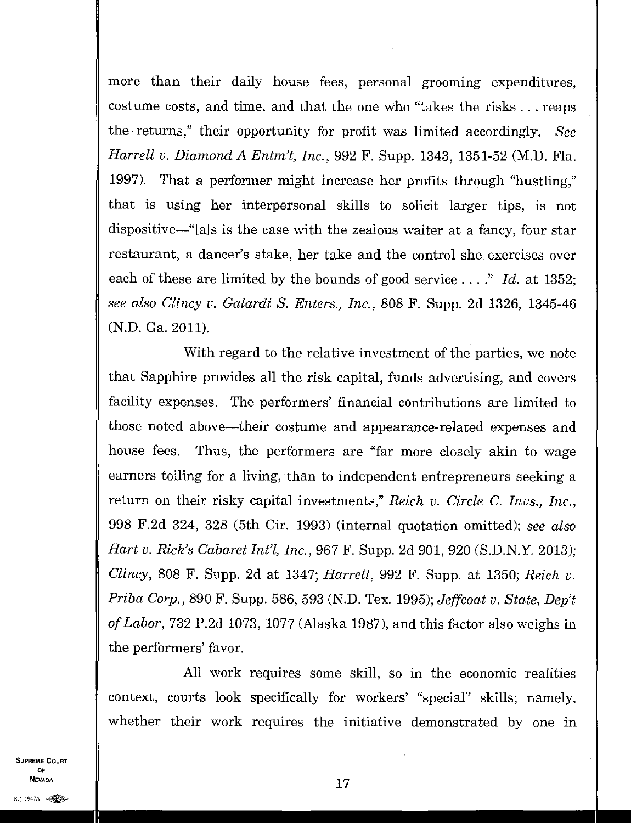more than their daily house fees, personal grooming expenditures, costume costs, and time, and that the one who "takes the risks . . . reaps the returns," their opportunity for profit was limited accordingly. *See Harrell v. Diamond A Entm't, Inc.,* 992 F. Supp. 1343, 1351-52 (M.D. Fla. 1997). That a performer might increase her profits through "hustling," that is using her interpersonal skills to solicit larger tips, is not dispositive—"[a]s is the case with the zealous waiter at a fancy, four star restaurant, a dancer's stake, her take and the control she exercises over each of these are limited by the bounds of good service . . . ." *Id.* at 1352; *see also Clincy v. Galardi S. Enters., Inc.,* 808 F. Supp. 2d 1326, 1345-46 (N.D. Ga. 2011).

With regard to the relative investment of the parties, we note that Sapphire provides all the risk capital, funds advertising, and covers facility expenses. The performers' financial contributions are limited to those noted above—their costume and appearance-related expenses and house fees. Thus, the performers are "far more closely akin to wage earners toiling for a living, than to independent entrepreneurs seeking a return on their risky capital investments," *Reich v. Circle C. Invs., Inc.,*  998 F.2d 324, 328 (5th Cir. 1993) (internal quotation omitted); *see also Hart v. Rick's Cabaret Intl, Inc.,* 967 F. Supp. 2d 901, 920 (S.D.N.Y. 2013); *Clincy,* 808 F. Supp. 2d at 1347; *Harrell,* 992 F. Supp. at 1350; *Reich v. Priba Corp.,* 890 F. Supp. 586, 593 (N.D. Tex. 1995); *Jeffcoat v. State, Dep't of Labor,* 732 P.2d 1073, 1077 (Alaska 1987), and this factor also weighs in the performers' favor.

All work requires some skill, so in the economic realities context, courts look specifically for workers' "special" skills; namely, whether their work requires the initiative demonstrated by one in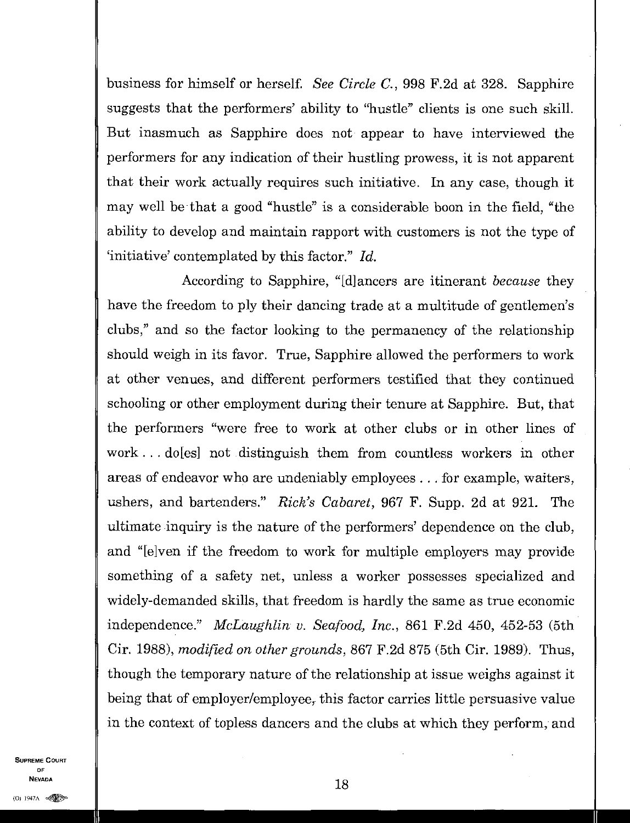business for himself or herself. *See Circle C.,* 998 F.2d at 328. Sapphire suggests that the performers' ability to "hustle" clients is one such skill. But inasmuch as Sapphire does not appear to have interviewed the performers for any indication of their hustling prowess, it is not apparent that their work actually requires such initiative. In any case, though it may well be that a good "hustle" is a considerable boon in the field, "the ability to develop and maintain rapport with customers is not the type of 'initiative' contemplated by this factor." *Id.* 

According to Sapphire, "[d]ancers are itinerant *because* they have the freedom to ply their dancing trade at a multitude of gentlemen's clubs," and so the factor looking to the permanency of the relationship should weigh in its favor. True, Sapphire allowed the performers to work at other venues, and different performers testified that they continued schooling or other employment during their tenure at Sapphire. But, that the performers "were free to work at other clubs or in other lines of work...do [es] not distinguish them from countless workers in other areas of endeavor who are undeniably employees ... for example, waiters, ushers, and bartenders." *Rick's Cabaret,* 967 F. Supp. 2d at 921. The ultimate inquiry is the nature of the performers' dependence on the club, and "[elven if the freedom to work for multiple employers may provide something of a safety net, unless a worker possesses specialized and widely-demanded skills, that freedom is hardly the same as true economic independence." *McLaughlin v. Seafood, Inc.,* 861 F.2d 450, 452-53 (5th Cir. 1988), *modified on other grounds,* 867 F.2d 875 (5th Cir. 1989). Thus, though the temporary nature of the relationship at issue weighs against it being that of employer/employee, this factor carries little persuasive value in the context of topless dancers and the clubs at which they perform, and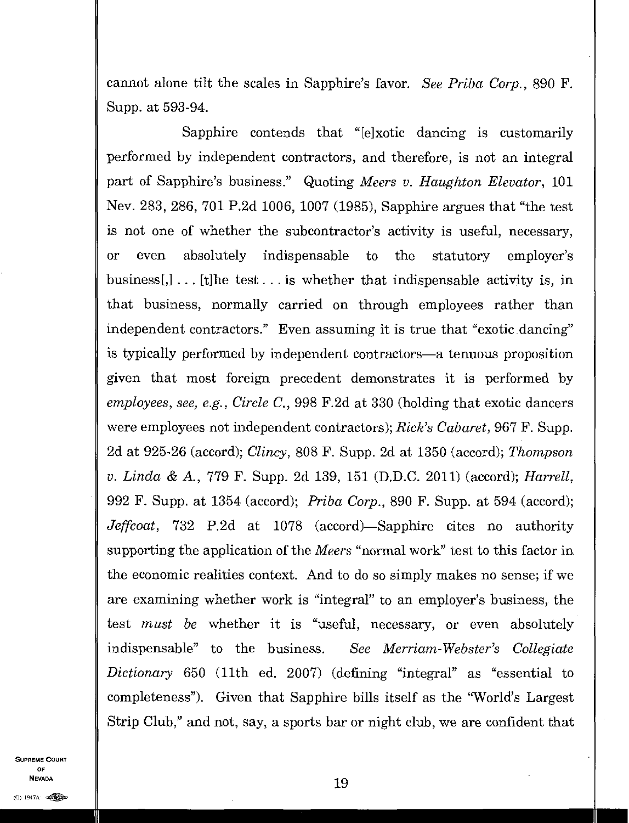cannot alone tilt the scales in Sapphire's favor. *See Priba Corp.,* 890 F. Supp. at 593-94.

Sapphire contends that "[e]xotic dancing is customarily performed by independent contractors, and therefore, is not an integral part of Sapphire's business." Quoting *Meers v. Haughton Elevator, 101 Nev. .* 283, 286, 701 P.2d 1006, 1007 (1985), Sapphire argues that "the test is not one of whether the subcontractor's activity is useful, necessary, or even absolutely indispensable to the statutory employer's business [,]  $\ldots$  [t] he test... is whether that indispensable activity is, in that business, normally carried on through employees rather than independent contractors." Even assuming it is true that "exotic dancing" is typically performed by independent contractors—a tenuous proposition given that most foreign precedent demonstrates it is performed by *employees, see, e.g., Circle C.,* 998 F.2d at 330 (holding that exotic dancers were employees not independent contractors); *Rick's Cabaret,* 967 F. Supp. 2d at 925-26 (accord); *Clincy,* 808 F. Supp. 2d at 1350 (accord); *Thompson v. Linda &* A., 779 F. Supp. 2d 139, 151 (D.D.C. 2011) (accord); *Harrell,*  992 F. Supp. at 1354 (accord); *Priba Corp.,* 890 F. Supp. at 594 (accord); *Jeffcoat,* 732 P.2d at 1078 (accord)—Sapphire cites no authority supporting the application of the *Meers* "normal work" test to this factor in the economic realities context. And to do so simply makes no sense; if we are examining whether work is "integral" to an employer's business, the test *must be* whether it is "useful, necessary, or even absolutely indispensable" to the business. *See Merriam-Webster's Collegiate Dictionary* 650 (11th ed. 2007) (defining "integral" as "essential to completeness"). Given that Sapphire bills itself as the "World's Largest Strip Club," and not, say, a sports bar or night club, we are confident that

SUPREME COURT OF NEVADA  $\parallel$  19 **NEVADA**<br>(0) 1947A  $\bigoplus_{\infty}$